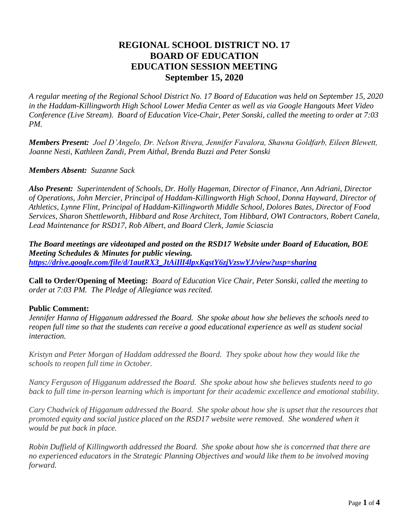# **REGIONAL SCHOOL DISTRICT NO. 17 BOARD OF EDUCATION EDUCATION SESSION MEETING September 15, 2020**

*A regular meeting of the Regional School District No. 17 Board of Education was held on September 15, 2020 in the Haddam-Killingworth High School Lower Media Center as well as via Google Hangouts Meet Video Conference (Live Stream). Board of Education Vice-Chair, Peter Sonski, called the meeting to order at 7:03 PM.*

*Members Present: Joel D'Angelo, Dr. Nelson Rivera, Jennifer Favalora, Shawna Goldfarb, Eileen Blewett, Joanne Nesti, Kathleen Zandi, Prem Aithal, Brenda Buzzi and Peter Sonski* 

#### *Members Absent: Suzanne Sack*

*Also Present: Superintendent of Schools, Dr. Holly Hageman, Director of Finance, Ann Adriani, Director of Operations, John Mercier, Principal of Haddam-Killingworth High School, Donna Hayward, Director of Athletics, Lynne Flint, Principal of Haddam-Killingworth Middle School, Dolores Bates, Director of Food Services, Sharon Shettleworth, Hibbard and Rose Architect, Tom Hibbard, OWI Contractors, Robert Canela, Lead Maintenance for RSD17, Rob Albert, and Board Clerk, Jamie Sciascia* 

*The Board meetings are videotaped and posted on the RSD17 Website under Board of Education, BOE Meeting Schedules & Minutes for public viewing. [https://drive.google.com/file/d/1autRX3\\_JtAiIlI4lpxKgstY6zjVzswYJ/view?usp=sharing](https://drive.google.com/file/d/1autRX3_JtAiIlI4lpxKgstY6zjVzswYJ/view?usp=sharing)*

**Call to Order/Opening of Meeting:** *Board of Education Vice Chair, Peter Sonski, called the meeting to order at 7:03 PM. The Pledge of Allegiance was recited.*

### **Public Comment:**

*Jennifer Hanna of Higganum addressed the Board.**She spoke about how she believes the schools need to reopen full time so that the students can receive a good educational experience as well as student social interaction.*

*Kristyn and Peter Morgan of Haddam addressed the Board. They spoke about how they would like the schools to reopen full time in October.*

*Nancy Ferguson of Higganum addressed the Board. She spoke about how she believes students need to go back to full time in-person learning which is important for their academic excellence and emotional stability.*

*Cary Chadwick of Higganum addressed the Board. She spoke about how she is upset that the resources that promoted equity and social justice placed on the RSD17 website were removed. She wondered when it would be put back in place.*

*Robin Duffield of Killingworth addressed the Board. She spoke about how she is concerned that there are no experienced educators in the Strategic Planning Objectives and would like them to be involved moving forward.*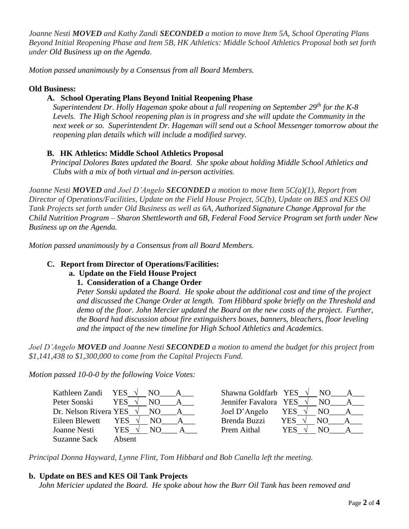*Joanne Nesti MOVED and Kathy Zandi SECONDED a motion to move Item 5A, School Operating Plans Beyond Initial Reopening Phase and Item 5B, HK Athletics: Middle School Athletics Proposal both set forth under Old Business up on the Agenda.*

*Motion passed unanimously by a Consensus from all Board Members.* 

### **Old Business:**

## **A. School Operating Plans Beyond Initial Reopening Phase**

*Superintendent Dr. Holly Hageman spoke about a full reopening on September 29th for the K-8 Levels. The High School reopening plan is in progress and she will update the Community in the next week or so. Superintendent Dr. Hageman will send out a School Messenger tomorrow about the reopening plan details which will include a modified survey.*

### **B. HK Athletics: Middle School Athletics Proposal**

*Principal Dolores Bates updated the Board. She spoke about holding Middle School Athletics and Clubs with a mix of both virtual and in-person activities.*

*Joanne Nesti MOVED and Joel D'Angelo SECONDED a motion to move Item 5C(a)(1), Report from Director of Operations/Facilities, Update on the Field House Project, 5C(b), Update on BES and KES Oil Tank Projects set forth under Old Business as well as 6A, Authorized Signature Change Approval for the Child Nutrition Program – Sharon Shettleworth and 6B, Federal Food Service Program set forth under New Business up on the Agenda.*

*Motion passed unanimously by a Consensus from all Board Members.*

### **C. Report from Director of Operations/Facilities:**

# **a. Update on the Field House Project**

### **1. Consideration of a Change Order**

*Peter Sonski updated the Board. He spoke about the additional cost and time of the project and discussed the Change Order at length. Tom Hibbard spoke briefly on the Threshold and demo of the floor. John Mercier updated the Board on the new costs of the project. Further, the Board had discussion about fire extinguishers boxes, banners, bleachers, floor leveling and the impact of the new timeline for High School Athletics and Academics.*

*Joel D'Angelo MOVED and Joanne Nesti SECONDED a motion to amend the budget for this project from \$1,141,438 to \$1,300,000 to come from the Capital Projects Fund.* 

*Motion passed 10-0-0 by the following Voice Votes:*

Kathleen Zandi YES **√** NO\_\_\_\_A\_\_\_ Shawna Goldfarb YES **√** NO\_\_\_\_A\_\_\_ Peter Sonski YES √ NO <u>A</u> Dr. Nelson Rivera YES √ NO\_\_\_\_A\_\_\_ Eileen Blewett YES √ NO A Joanne Nesti YES **√** NO\_\_\_\_ A\_\_\_ Prem Aithal YES **√** NO\_\_\_\_A\_\_\_ Suzanne Sack Absent

| Shawna Goldfarb YES   |     | N() |  |
|-----------------------|-----|-----|--|
| Jennifer Favalora YES |     | NΟ  |  |
| Joel D'Angelo         | YES | NO  |  |
| <b>Brenda Buzzi</b>   | YES | NΟ  |  |
| Prem Aithal           | YES | NΟ  |  |
|                       |     |     |  |

*Principal Donna Hayward, Lynne Flint, Tom Hibbard and Bob Canella left the meeting.* 

### **b. Update on BES and KES Oil Tank Projects**

*John Mericier updated the Board. He spoke about how the Burr Oil Tank has been removed and*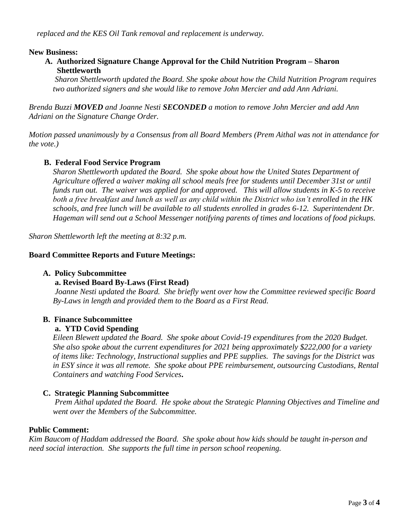#### **New Business:**

### **A. Authorized Signature Change Approval for the Child Nutrition Program – Sharon Shettleworth**

*Sharon Shettleworth updated the Board. She spoke about how the Child Nutrition Program requires two authorized signers and she would like to remove John Mercier and add Ann Adriani.*

*Brenda Buzzi MOVED and Joanne Nesti SECONDED a motion to remove John Mercier and add Ann Adriani on the Signature Change Order.*

*Motion passed unanimously by a Consensus from all Board Members (Prem Aithal was not in attendance for the vote.)*

### **B. Federal Food Service Program**

*Sharon Shettleworth updated the Board. She spoke about how the United States Department of Agriculture offered a waiver making all school meals free for students until December 31st or until funds run out. The waiver was applied for and approved. This will allow students in K-5 to receive both a free breakfast and lunch as well as any child within the District who isn't enrolled in the HK schools, and free lunch will be available to all students enrolled in grades 6-12. Superintendent Dr. Hageman will send out a School Messenger notifying parents of times and locations of food pickups.* 

*Sharon Shettleworth left the meeting at 8:32 p.m.*

#### **Board Committee Reports and Future Meetings:**

#### **A. Policy Subcommittee**

#### **a. Revised Board By-Laws (First Read)**

*Joanne Nesti updated the Board. She briefly went over how the Committee reviewed specific Board By-Laws in length and provided them to the Board as a First Read.*

### **B. Finance Subcommittee**

#### **a. YTD Covid Spending**

*Eileen Blewett updated the Board. She spoke about Covid-19 expenditures from the 2020 Budget. She also spoke about the current expenditures for 2021 being approximately \$222,000 for a variety of items like: Technology, Instructional supplies and PPE supplies. The savings for the District was in ESY since it was all remote. She spoke about PPE reimbursement, outsourcing Custodians, Rental Containers and watching Food Services***.** 

### **C. Strategic Planning Subcommittee**

*Prem Aithal updated the Board. He spoke about the Strategic Planning Objectives and Timeline and went over the Members of the Subcommittee.* 

#### **Public Comment:**

*Kim Baucom of Haddam addressed the Board. She spoke about how kids should be taught in-person and need social interaction. She supports the full time in person school reopening.*